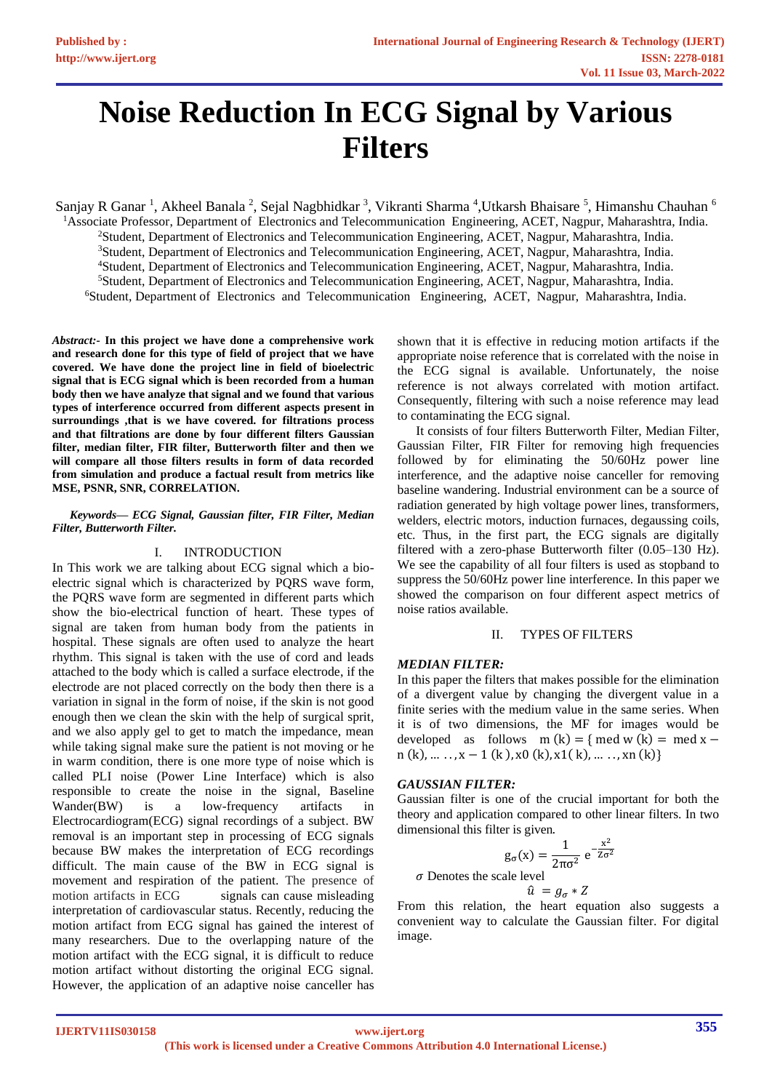# **Noise Reduction In ECG Signal by Various Filters**

Sanjay R Ganar <sup>1</sup>, Akheel Banala <sup>2</sup>, Sejal Nagbhidkar <sup>3</sup>, Vikranti Sharma <sup>4</sup>,Utkarsh Bhaisare <sup>5</sup>, Himanshu Chauhan <sup>6</sup> Associate Professor, Department of Electronics and Telecommunication Engineering, ACET, Nagpur, Maharashtra, India. Student, Department of Electronics and Telecommunication Engineering, ACET, Nagpur, Maharashtra, India. Student, Department of Electronics and Telecommunication Engineering, ACET, Nagpur, Maharashtra, India. Student, Department of Electronics and Telecommunication Engineering, ACET, Nagpur, Maharashtra, India. Student, Department of Electronics and Telecommunication Engineering, ACET, Nagpur, Maharashtra, India. Student, Department of Electronics and Telecommunication Engineering, ACET, Nagpur, Maharashtra, India.

*Abstract:-* **In this project we have done a comprehensive work and research done for this type of field of project that we have covered. We have done the project line in field of bioelectric signal that is ECG signal which is been recorded from a human body then we have analyze that signal and we found that various types of interference occurred from different aspects present in surroundings ,that is we have covered. for filtrations process and that filtrations are done by four different filters Gaussian filter, median filter, FIR filter, Butterworth filter and then we will compare all those filters results in form of data recorded from simulation and produce a factual result from metrics like MSE, PSNR, SNR, CORRELATION.**

#### *Keywords— ECG Signal, Gaussian filter, FIR Filter, Median Filter, Butterworth Filter.*

## I. INTRODUCTION

In This work we are talking about ECG signal which a bioelectric signal which is characterized by PQRS wave form, the PQRS wave form are segmented in different parts which show the bio-electrical function of heart. These types of signal are taken from human body from the patients in hospital. These signals are often used to analyze the heart rhythm. This signal is taken with the use of cord and leads attached to the body which is called a surface electrode, if the electrode are not placed correctly on the body then there is a variation in signal in the form of noise, if the skin is not good enough then we clean the skin with the help of surgical sprit, and we also apply gel to get to match the impedance, mean while taking signal make sure the patient is not moving or he in warm condition, there is one more type of noise which is called PLI noise (Power Line Interface) which is also responsible to create the noise in the signal, Baseline Wander(BW) is a low-frequency artifacts in Electrocardiogram(ECG) signal recordings of a subject. BW removal is an important step in processing of ECG signals because BW makes the interpretation of ECG recordings difficult. The main cause of the BW in ECG signal is movement and respiration of the patient. The presence of motion artifacts in ECG signals can cause misleading interpretation of cardiovascular status. Recently, reducing the motion artifact from ECG signal has gained the interest of many researchers. Due to the overlapping nature of the motion artifact with the ECG signal, it is difficult to reduce motion artifact without distorting the original ECG signal. However, the application of an adaptive noise canceller has

shown that it is effective in reducing motion artifacts if the appropriate noise reference that is correlated with the noise in the ECG signal is available. Unfortunately, the noise reference is not always correlated with motion artifact. Consequently, filtering with such a noise reference may lead to contaminating the ECG signal.

It consists of four filters Butterworth Filter, Median Filter, Gaussian Filter, FIR Filter for removing high frequencies followed by for eliminating the 50/60Hz power line interference, and the adaptive noise canceller for removing baseline wandering. Industrial environment can be a source of radiation generated by high voltage power lines, transformers, welders, electric motors, induction furnaces, degaussing coils, etc. Thus, in the first part, the ECG signals are digitally filtered with a zero-phase Butterworth filter (0.05–130 Hz). We see the capability of all four filters is used as stopband to suppress the 50/60Hz power line interference. In this paper we showed the comparison on four different aspect metrics of noise ratios available.

## II. TYPES OF FILTERS

## *MEDIAN FILTER:*

In this paper the filters that makes possible for the elimination of a divergent value by changing the divergent value in a finite series with the medium value in the same series. When it is of two dimensions, the MF for images would be developed as follows m  $(k) = \{$  med w  $(k) =$  med x –  $n(k), \ldots, x-1 (k), x0 (k), x1 (k), \ldots, xn (k)$ 

#### *GAUSSIAN FILTER:*

Gaussian filter is one of the crucial important for both the theory and application compared to other linear filters. In two dimensional this filter is given.

$$
g_{\sigma}(x) = \frac{1}{2\pi\sigma^2} e^{-\frac{x^2}{Z\sigma^2}}
$$

 $\sigma$  Denotes the scale level

$$
\hat{u} = g_{\sigma} * Z
$$

From this relation, the heart equation also suggests a convenient way to calculate the Gaussian filter. For digital image.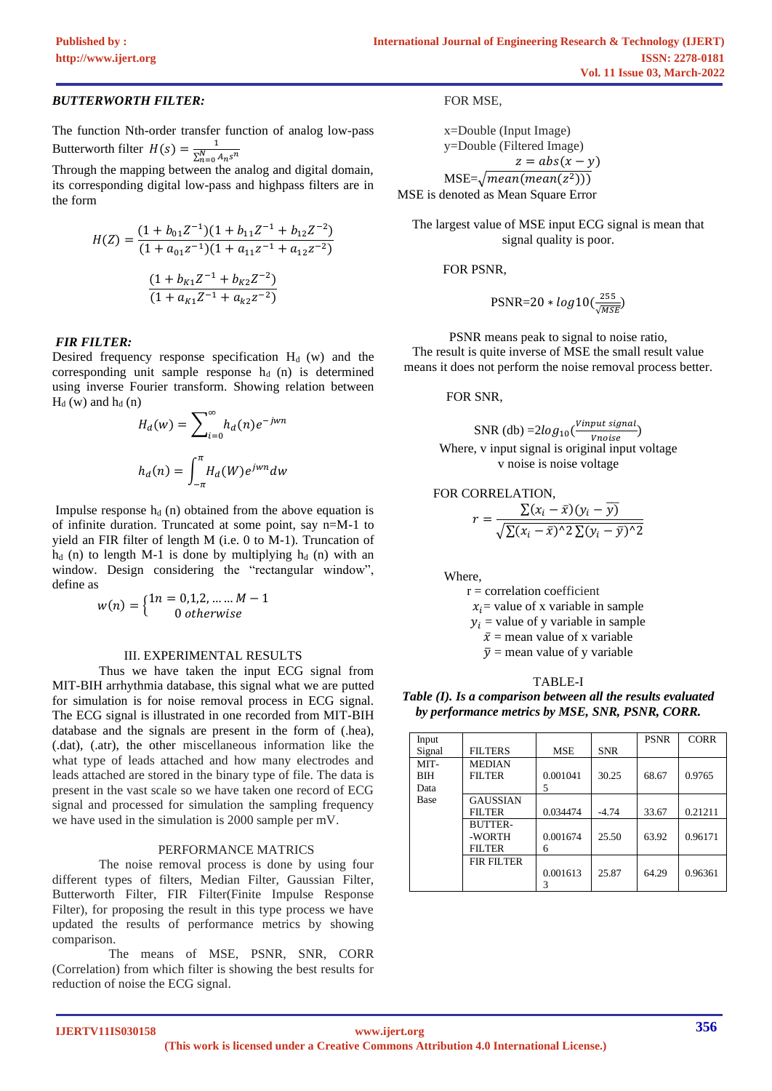## *BUTTERWORTH FILTER:*

The function Nth-order transfer function of analog low-pass Butterworth filter  $H(s) = \frac{1}{sN}$  $\sum_{n=0}^{N} A_n s^n$ 

Through the mapping between the analog and digital domain, its corresponding digital low-pass and highpass filters are in the form

$$
H(Z) = \frac{(1 + b_{01}Z^{-1})(1 + b_{11}Z^{-1} + b_{12}Z^{-2})}{(1 + a_{01}Z^{-1})(1 + a_{11}Z^{-1} + a_{12}Z^{-2})}
$$

$$
\frac{(1 + b_{K1}Z^{-1} + b_{K2}Z^{-2})}{(1 + a_{K1}Z^{-1} + a_{K2}Z^{-2})}
$$

## *FIR FILTER:*

Desired frequency response specification  $H<sub>d</sub>$  (w) and the corresponding unit sample response  $h_d$  (n) is determined using inverse Fourier transform. Showing relation between  $H_d$  (w) and  $h_d$  (n)

$$
H_d(w) = \sum_{i=0}^{\infty} h_d(n) e^{-jwn}
$$

$$
h_d(n) = \int_{-\pi}^{\pi} H_d(W) e^{jwn} dw
$$

Impulse response  $h_d$  (n) obtained from the above equation is of infinite duration. Truncated at some point, say n=M-1 to yield an FIR filter of length M (i.e. 0 to M-1). Truncation of  $h_d$  (n) to length M-1 is done by multiplying  $h_d$  (n) with an window. Design considering the "rectangular window", define as

$$
w(n) = \begin{cases} 1n = 0, 1, 2, \dots \dots M - 1 \\ 0 \text{ otherwise} \end{cases}
$$

#### III. EXPERIMENTAL RESULTS

Thus we have taken the input ECG signal from MIT-BIH arrhythmia database, this signal what we are putted for simulation is for noise removal process in ECG signal. The ECG signal is illustrated in one recorded from MIT-BIH database and the signals are present in the form of (.hea), (.dat), (.atr), the other miscellaneous information like the what type of leads attached and how many electrodes and leads attached are stored in the binary type of file. The data is present in the vast scale so we have taken one record of ECG signal and processed for simulation the sampling frequency we have used in the simulation is 2000 sample per mV.

#### PERFORMANCE MATRICS

The noise removal process is done by using four different types of filters, Median Filter, Gaussian Filter, Butterworth Filter, FIR Filter(Finite Impulse Response Filter), for proposing the result in this type process we have updated the results of performance metrics by showing comparison.

 The means of MSE, PSNR, SNR, CORR (Correlation) from which filter is showing the best results for reduction of noise the ECG signal.

FOR MSE,

x=Double (Input Image) y=Double (Filtered Image)  $z = abs(x - y)$  $\mathrm{MSE}{=}\sqrt{mean(mean(z^2))})$ MSE is denoted as Mean Square Error

The largest value of MSE input ECG signal is mean that signal quality is poor.

FOR PSNR,

$$
\text{PSNR}{=}20 * log10(\tfrac{255}{\sqrt{MSE}})
$$

PSNR means peak to signal to noise ratio, The result is quite inverse of MSE the small result value means it does not perform the noise removal process better.

FOR SNR,

\n
$$
\text{SNR} \left( \text{db} \right) = 2 \log_{10} \left( \frac{ \text{Vinput signal}}{\text{Vnoise}} \right)
$$
\n

\n\n Where, v input signal is original input voltage   
\n v noise is noise voltage\n

#### FOR CORRELATION,

$$
r = \frac{\sum (x_i - \bar{x})(y_i - \bar{y})}{\sqrt{\sum (x_i - \bar{x})^2 \sum (y_i - \bar{y})^2}}
$$

Where,

 $r =$  correlation coefficient  $x_i$  value of x variable in sample  $y_i$  = value of y variable in sample

 $\bar{x}$  = mean value of x variable

 $\bar{y}$  = mean value of y variable

TABLE-I

*Table (I). Is a comparison between all the results evaluated by performance metrics by MSE, SNR, PSNR, CORR.*

| Input      |                 |            |            | <b>PSNR</b> | <b>CORR</b> |
|------------|-----------------|------------|------------|-------------|-------------|
| Signal     | <b>FILTERS</b>  | <b>MSE</b> | <b>SNR</b> |             |             |
| MIT-       | <b>MEDIAN</b>   |            |            |             |             |
| <b>BIH</b> | <b>FILTER</b>   | 0.001041   | 30.25      | 68.67       | 0.9765      |
| Data       |                 | 5          |            |             |             |
| Base       | <b>GAUSSIAN</b> |            |            |             |             |
|            | <b>FILTER</b>   | 0.034474   | $-4.74$    | 33.67       | 0.21211     |
|            | <b>BUTTER-</b>  |            |            |             |             |
|            | -WORTH          | 0.001674   | 25.50      | 63.92       | 0.96171     |
|            | <b>FILTER</b>   | 6          |            |             |             |
|            | FIR FILTER      |            |            |             |             |
|            |                 | 0.001613   | 25.87      | 64.29       | 0.96361     |
|            |                 |            |            |             |             |